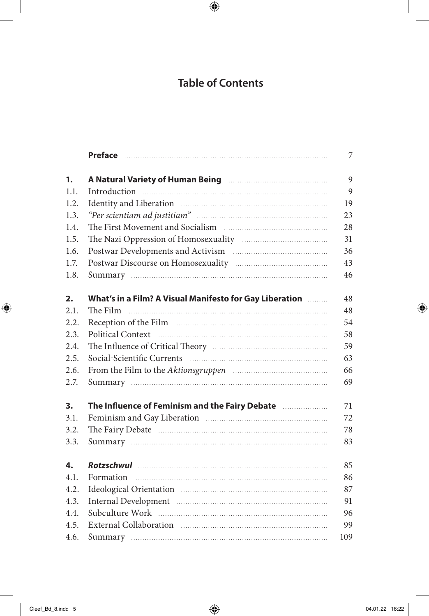## **Table of Contents**

| 1.   | A Natural Variety of Human Being <b>Manual A Natural Variety of Human Being</b>                     |
|------|-----------------------------------------------------------------------------------------------------|
| 1.1. |                                                                                                     |
| 1.2. |                                                                                                     |
| 1.3. |                                                                                                     |
| 1.4. |                                                                                                     |
| 1.5. |                                                                                                     |
| 1.6. |                                                                                                     |
| 1.7. |                                                                                                     |
| 1.8. |                                                                                                     |
| 2.   | What's in a Film? A Visual Manifesto for Gay Liberation                                             |
| 2.1. |                                                                                                     |
| 2.2. |                                                                                                     |
| 2.3. |                                                                                                     |
| 2.4. |                                                                                                     |
| 2.5. |                                                                                                     |
| 2.6. |                                                                                                     |
| 2.7. |                                                                                                     |
| 3.   | The Influence of Feminism and the Fairy Debate [111] The Influence of Feminism and the Fairy Debate |
| 3.1. |                                                                                                     |
| 3.2. |                                                                                                     |
| 3.3. |                                                                                                     |
| 4.   |                                                                                                     |
| 4.1. |                                                                                                     |
| 4.2. |                                                                                                     |
| 4.3. |                                                                                                     |
| 4.4. |                                                                                                     |
| 4.5. |                                                                                                     |
| 4.6. |                                                                                                     |